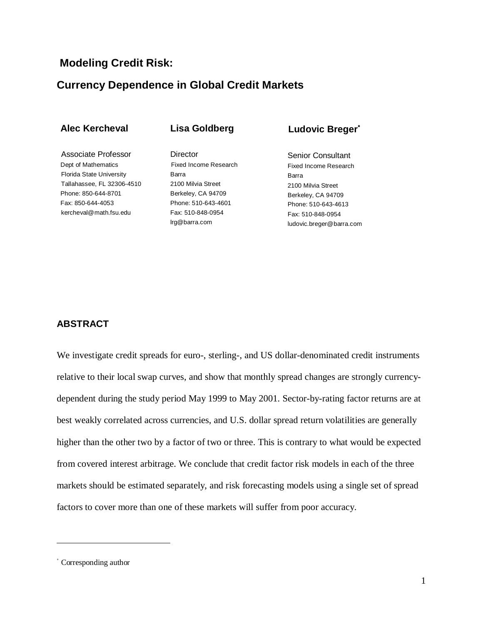## **Modeling Credit Risk:**

## **Currency Dependence in Global Credit Markets**

| <b>Alec Kercheval</b> |  |
|-----------------------|--|
|-----------------------|--|

**Lisa Goldberg**

Associate Professor Dept of Mathematics Florida State University Tallahassee, FL 32306-4510 Phone: 850-644-8701 Fax: 850-644-4053 kercheval@math.fsu.edu

**Director** Fixed Income Research Barra 2100 Milvia Street Berkeley, CA 94709 Phone: 510-643-4601 Fax: 510-848-0954 lrg@barra.com

## **Ludovic Breger**<sup>∗</sup>

Senior Consultant Fixed Income Research Barra 2100 Milvia Street Berkeley, CA 94709 Phone: 510-643-4613 Fax: 510-848-0954 ludovic.breger@barra.com

### **ABSTRACT**

We investigate credit spreads for euro-, sterling-, and US dollar-denominated credit instruments relative to their local swap curves, and show that monthly spread changes are strongly currencydependent during the study period May 1999 to May 2001. Sector-by-rating factor returns are at best weakly correlated across currencies, and U.S. dollar spread return volatilities are generally higher than the other two by a factor of two or three. This is contrary to what would be expected from covered interest arbitrage. We conclude that credit factor risk models in each of the three markets should be estimated separately, and risk forecasting models using a single set of spread factors to cover more than one of these markets will suffer from poor accuracy.

<sup>∗</sup> Corresponding author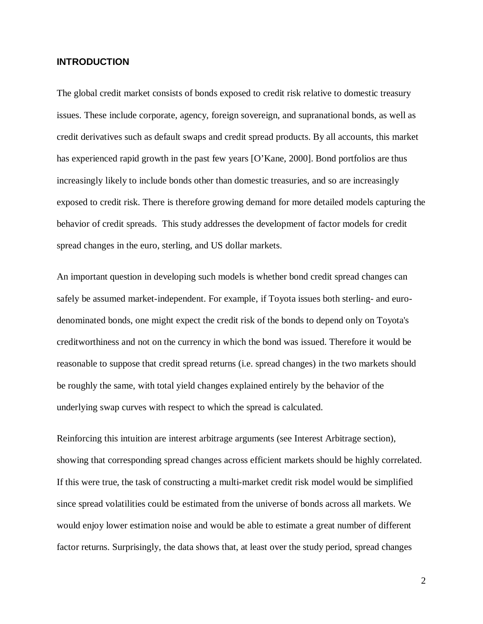### **INTRODUCTION**

The global credit market consists of bonds exposed to credit risk relative to domestic treasury issues. These include corporate, agency, foreign sovereign, and supranational bonds, as well as credit derivatives such as default swaps and credit spread products. By all accounts, this market has experienced rapid growth in the past few years [O'Kane, 2000]. Bond portfolios are thus increasingly likely to include bonds other than domestic treasuries, and so are increasingly exposed to credit risk. There is therefore growing demand for more detailed models capturing the behavior of credit spreads. This study addresses the development of factor models for credit spread changes in the euro, sterling, and US dollar markets.

An important question in developing such models is whether bond credit spread changes can safely be assumed market-independent. For example, if Toyota issues both sterling- and eurodenominated bonds, one might expect the credit risk of the bonds to depend only on Toyota's creditworthiness and not on the currency in which the bond was issued. Therefore it would be reasonable to suppose that credit spread returns (i.e. spread changes) in the two markets should be roughly the same, with total yield changes explained entirely by the behavior of the underlying swap curves with respect to which the spread is calculated.

Reinforcing this intuition are interest arbitrage arguments (see Interest Arbitrage section), showing that corresponding spread changes across efficient markets should be highly correlated. If this were true, the task of constructing a multi-market credit risk model would be simplified since spread volatilities could be estimated from the universe of bonds across all markets. We would enjoy lower estimation noise and would be able to estimate a great number of different factor returns. Surprisingly, the data shows that, at least over the study period, spread changes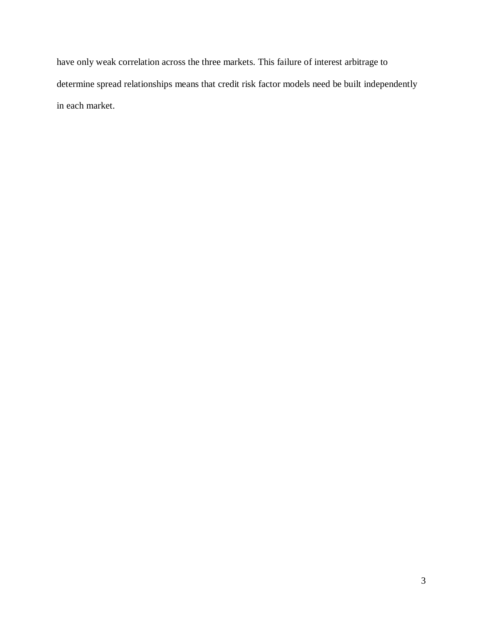have only weak correlation across the three markets. This failure of interest arbitrage to determine spread relationships means that credit risk factor models need be built independently in each market.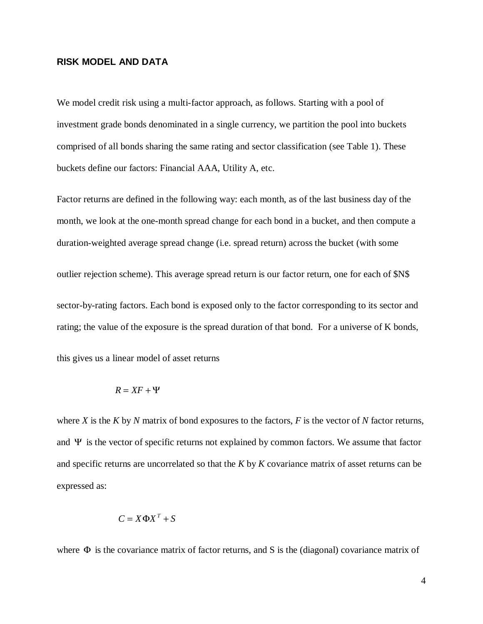### **RISK MODEL AND DATA**

We model credit risk using a multi-factor approach, as follows. Starting with a pool of investment grade bonds denominated in a single currency, we partition the pool into buckets comprised of all bonds sharing the same rating and sector classification (see Table 1). These buckets define our factors: Financial AAA, Utility A, etc.

Factor returns are defined in the following way: each month, as of the last business day of the month, we look at the one-month spread change for each bond in a bucket, and then compute a duration-weighted average spread change (i.e. spread return) across the bucket (with some outlier rejection scheme). This average spread return is our factor return, one for each of \$N\$ sector-by-rating factors. Each bond is exposed only to the factor corresponding to its sector and rating; the value of the exposure is the spread duration of that bond. For a universe of K bonds,

this gives us a linear model of asset returns

$$
R = XF + \Psi
$$

where *X* is the *K* by *N* matrix of bond exposures to the factors, *F* is the vector of *N* factor returns, and  $\Psi$  is the vector of specific returns not explained by common factors. We assume that factor and specific returns are uncorrelated so that the *K* by *K* covariance matrix of asset returns can be expressed as:

$$
C = X\Phi X^T + S
$$

where  $\Phi$  is the covariance matrix of factor returns, and S is the (diagonal) covariance matrix of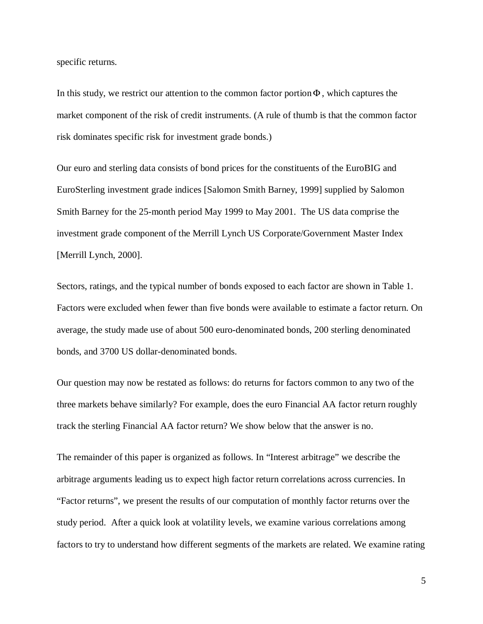specific returns.

In this study, we restrict our attention to the common factor portion $\Phi$ , which captures the market component of the risk of credit instruments. (A rule of thumb is that the common factor risk dominates specific risk for investment grade bonds.)

Our euro and sterling data consists of bond prices for the constituents of the EuroBIG and EuroSterling investment grade indices [Salomon Smith Barney, 1999] supplied by Salomon Smith Barney for the 25-month period May 1999 to May 2001. The US data comprise the investment grade component of the Merrill Lynch US Corporate/Government Master Index [Merrill Lynch, 2000].

Sectors, ratings, and the typical number of bonds exposed to each factor are shown in Table 1. Factors were excluded when fewer than five bonds were available to estimate a factor return. On average, the study made use of about 500 euro-denominated bonds, 200 sterling denominated bonds, and 3700 US dollar-denominated bonds.

Our question may now be restated as follows: do returns for factors common to any two of the three markets behave similarly? For example, does the euro Financial AA factor return roughly track the sterling Financial AA factor return? We show below that the answer is no.

The remainder of this paper is organized as follows. In "Interest arbitrage" we describe the arbitrage arguments leading us to expect high factor return correlations across currencies. In "Factor returns", we present the results of our computation of monthly factor returns over the study period. After a quick look at volatility levels, we examine various correlations among factors to try to understand how different segments of the markets are related. We examine rating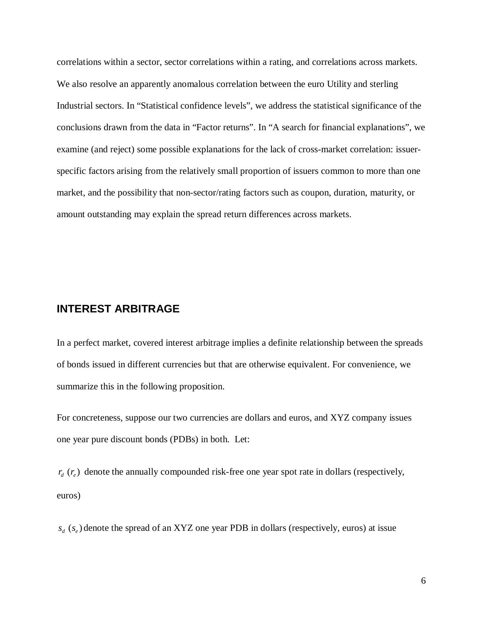correlations within a sector, sector correlations within a rating, and correlations across markets. We also resolve an apparently anomalous correlation between the euro Utility and sterling Industrial sectors. In "Statistical confidence levels", we address the statistical significance of the conclusions drawn from the data in "Factor returns". In "A search for financial explanations", we examine (and reject) some possible explanations for the lack of cross-market correlation: issuerspecific factors arising from the relatively small proportion of issuers common to more than one market, and the possibility that non-sector/rating factors such as coupon, duration, maturity, or amount outstanding may explain the spread return differences across markets.

## **INTEREST ARBITRAGE**

In a perfect market, covered interest arbitrage implies a definite relationship between the spreads of bonds issued in different currencies but that are otherwise equivalent. For convenience, we summarize this in the following proposition.

For concreteness, suppose our two currencies are dollars and euros, and XYZ company issues one year pure discount bonds (PDBs) in both. Let:

 $r_{d}$  ( $r_{e}$ ) denote the annually compounded risk-free one year spot rate in dollars (respectively, euros)

 $s_d$  ( $s_e$ ) denote the spread of an XYZ one year PDB in dollars (respectively, euros) at issue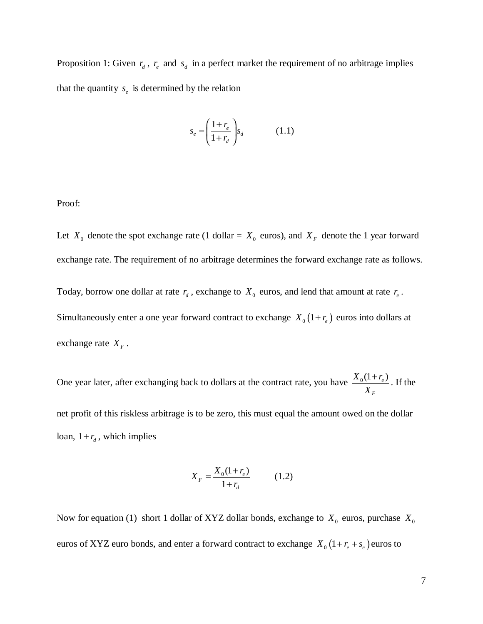Proposition 1: Given  $r_a$ ,  $r_e$  and  $s_d$  in a perfect market the requirement of no arbitrage implies that the quantity  $s_e$  is determined by the relation

$$
s_e = \left(\frac{1+r_e}{1+r_d}\right) s_d \tag{1.1}
$$

Proof:

Let  $X_0$  denote the spot exchange rate (1 dollar =  $X_0$  euros), and  $X_F$  denote the 1 year forward exchange rate. The requirement of no arbitrage determines the forward exchange rate as follows.

Today, borrow one dollar at rate  $r_d$ , exchange to  $X_0$  euros, and lend that amount at rate  $r_e$ . Simultaneously enter a one year forward contract to exchange  $X_0(1+r_e)$  euros into dollars at exchange rate  $X_F$ .

One year later, after exchanging back to dollars at the contract rate, you have  $\frac{X_0(1+r_e)}{X_0(r_e)}$ *F X*  $\frac{+r_e}{+r_e}$ . If the

net profit of this riskless arbitrage is to be zero, this must equal the amount owed on the dollar loan,  $1 + r_d$ , which implies

$$
X_F = \frac{X_0(1+r_e)}{1+r_d} \tag{1.2}
$$

Now for equation (1) short 1 dollar of XYZ dollar bonds, exchange to  $X_0$  euros, purchase  $X_0$ euros of XYZ euro bonds, and enter a forward contract to exchange  $X_0(1+r_e+s_e)$  euros to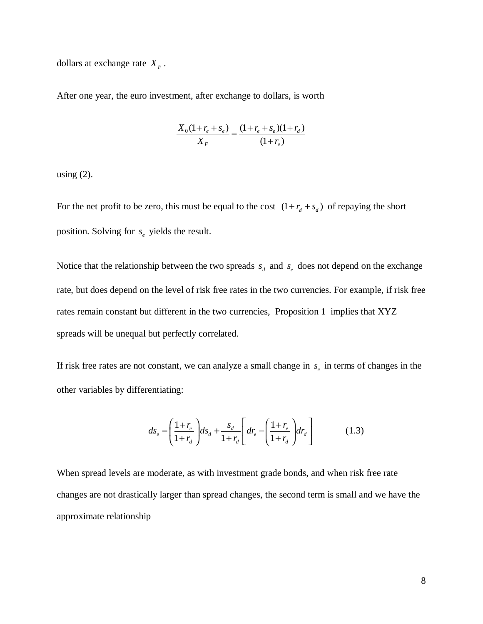dollars at exchange rate  $X_F$ .

After one year, the euro investment, after exchange to dollars, is worth

$$
\frac{X_0(1+r_e+s_e)}{X_F} = \frac{(1+r_e+s_e)(1+r_d)}{(1+r_e)}
$$

using  $(2)$ .

For the net profit to be zero, this must be equal to the cost  $(1 + r_d + s_d)$  of repaying the short position. Solving for  $s_e$  yields the result.

Notice that the relationship between the two spreads  $s_d$  and  $s_e$  does not depend on the exchange rate, but does depend on the level of risk free rates in the two currencies. For example, if risk free rates remain constant but different in the two currencies, Proposition 1 implies that XYZ spreads will be unequal but perfectly correlated.

If risk free rates are not constant, we can analyze a small change in  $s_e$  in terms of changes in the other variables by differentiating:

$$
ds_e = \left(\frac{1+r_e}{1+r_d}\right)ds_d + \frac{s_d}{1+r_d}\left(dr_e - \left(\frac{1+r_e}{1+r_d}\right)dr_d\right) \tag{1.3}
$$

When spread levels are moderate, as with investment grade bonds, and when risk free rate changes are not drastically larger than spread changes, the second term is small and we have the approximate relationship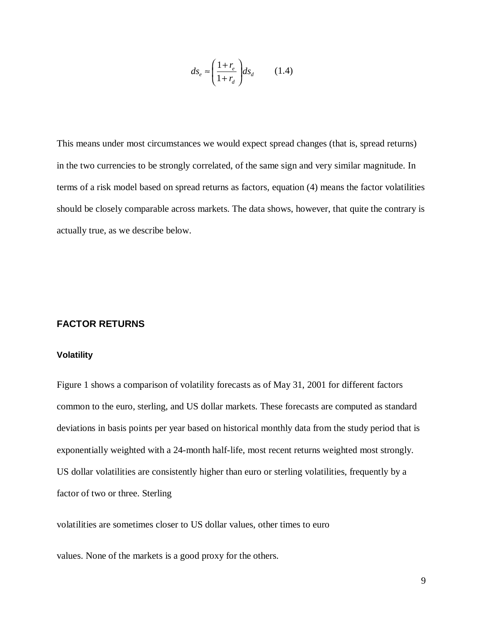$$
ds_e \approx \left(\frac{1+r_e}{1+r_d}\right) ds_d \qquad (1.4)
$$

This means under most circumstances we would expect spread changes (that is, spread returns) in the two currencies to be strongly correlated, of the same sign and very similar magnitude. In terms of a risk model based on spread returns as factors, equation (4) means the factor volatilities should be closely comparable across markets. The data shows, however, that quite the contrary is actually true, as we describe below.

#### **FACTOR RETURNS**

#### **Volatility**

Figure 1 shows a comparison of volatility forecasts as of May 31, 2001 for different factors common to the euro, sterling, and US dollar markets. These forecasts are computed as standard deviations in basis points per year based on historical monthly data from the study period that is exponentially weighted with a 24-month half-life, most recent returns weighted most strongly. US dollar volatilities are consistently higher than euro or sterling volatilities, frequently by a factor of two or three. Sterling

volatilities are sometimes closer to US dollar values, other times to euro

values. None of the markets is a good proxy for the others.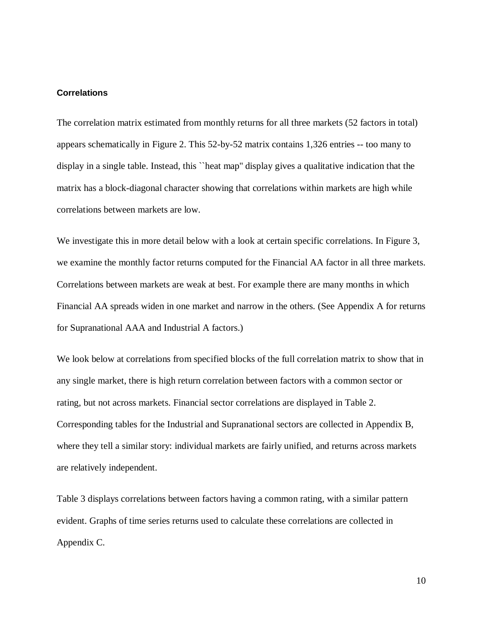## **Correlations**

The correlation matrix estimated from monthly returns for all three markets (52 factors in total) appears schematically in Figure 2. This 52-by-52 matrix contains 1,326 entries -- too many to display in a single table. Instead, this ``heat map'' display gives a qualitative indication that the matrix has a block-diagonal character showing that correlations within markets are high while correlations between markets are low.

We investigate this in more detail below with a look at certain specific correlations. In Figure 3, we examine the monthly factor returns computed for the Financial AA factor in all three markets. Correlations between markets are weak at best. For example there are many months in which Financial AA spreads widen in one market and narrow in the others. (See Appendix A for returns for Supranational AAA and Industrial A factors.)

We look below at correlations from specified blocks of the full correlation matrix to show that in any single market, there is high return correlation between factors with a common sector or rating, but not across markets. Financial sector correlations are displayed in Table 2. Corresponding tables for the Industrial and Supranational sectors are collected in Appendix B, where they tell a similar story: individual markets are fairly unified, and returns across markets are relatively independent.

Table 3 displays correlations between factors having a common rating, with a similar pattern evident. Graphs of time series returns used to calculate these correlations are collected in Appendix C.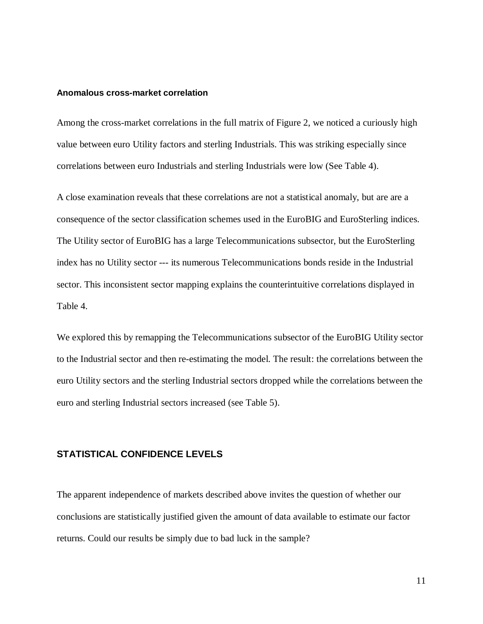### **Anomalous cross-market correlation**

Among the cross-market correlations in the full matrix of Figure 2, we noticed a curiously high value between euro Utility factors and sterling Industrials. This was striking especially since correlations between euro Industrials and sterling Industrials were low (See Table 4).

A close examination reveals that these correlations are not a statistical anomaly, but are are a consequence of the sector classification schemes used in the EuroBIG and EuroSterling indices. The Utility sector of EuroBIG has a large Telecommunications subsector, but the EuroSterling index has no Utility sector --- its numerous Telecommunications bonds reside in the Industrial sector. This inconsistent sector mapping explains the counterintuitive correlations displayed in Table 4.

We explored this by remapping the Telecommunications subsector of the EuroBIG Utility sector to the Industrial sector and then re-estimating the model. The result: the correlations between the euro Utility sectors and the sterling Industrial sectors dropped while the correlations between the euro and sterling Industrial sectors increased (see Table 5).

### **STATISTICAL CONFIDENCE LEVELS**

The apparent independence of markets described above invites the question of whether our conclusions are statistically justified given the amount of data available to estimate our factor returns. Could our results be simply due to bad luck in the sample?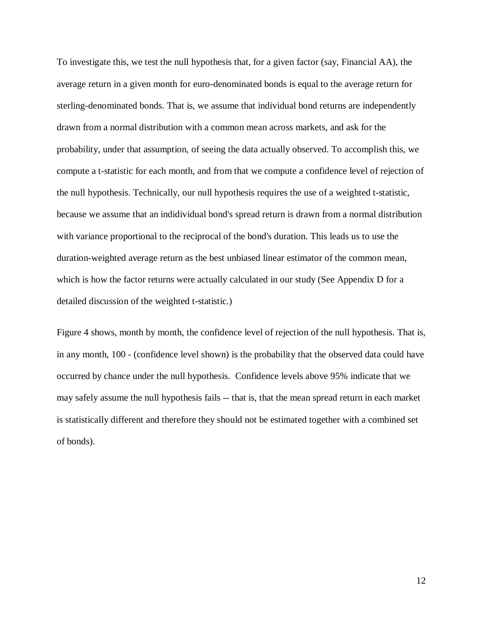To investigate this, we test the null hypothesis that, for a given factor (say, Financial AA), the average return in a given month for euro-denominated bonds is equal to the average return for sterling-denominated bonds. That is, we assume that individual bond returns are independently drawn from a normal distribution with a common mean across markets, and ask for the probability, under that assumption, of seeing the data actually observed. To accomplish this, we compute a t-statistic for each month, and from that we compute a confidence level of rejection of the null hypothesis. Technically, our null hypothesis requires the use of a weighted t-statistic, because we assume that an indidividual bond's spread return is drawn from a normal distribution with variance proportional to the reciprocal of the bond's duration. This leads us to use the duration-weighted average return as the best unbiased linear estimator of the common mean, which is how the factor returns were actually calculated in our study (See Appendix D for a detailed discussion of the weighted t-statistic.)

Figure 4 shows, month by month, the confidence level of rejection of the null hypothesis. That is, in any month, 100 - (confidence level shown) is the probability that the observed data could have occurred by chance under the null hypothesis. Confidence levels above 95% indicate that we may safely assume the null hypothesis fails -- that is, that the mean spread return in each market is statistically different and therefore they should not be estimated together with a combined set of bonds).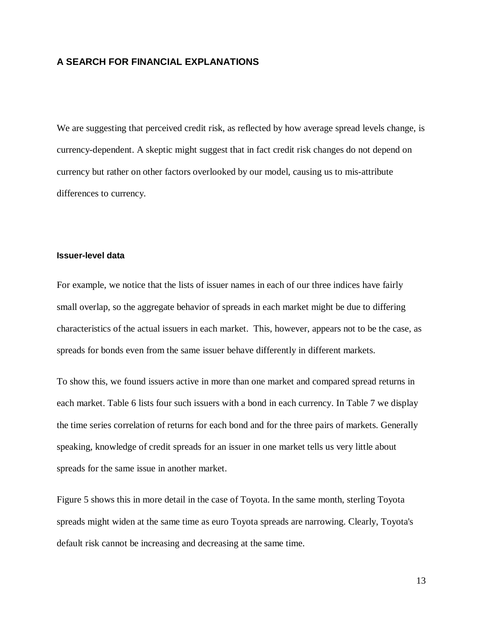## **A SEARCH FOR FINANCIAL EXPLANATIONS**

We are suggesting that perceived credit risk, as reflected by how average spread levels change, is currency-dependent. A skeptic might suggest that in fact credit risk changes do not depend on currency but rather on other factors overlooked by our model, causing us to mis-attribute differences to currency.

#### **Issuer-level data**

For example, we notice that the lists of issuer names in each of our three indices have fairly small overlap, so the aggregate behavior of spreads in each market might be due to differing characteristics of the actual issuers in each market. This, however, appears not to be the case, as spreads for bonds even from the same issuer behave differently in different markets.

To show this, we found issuers active in more than one market and compared spread returns in each market. Table 6 lists four such issuers with a bond in each currency. In Table 7 we display the time series correlation of returns for each bond and for the three pairs of markets. Generally speaking, knowledge of credit spreads for an issuer in one market tells us very little about spreads for the same issue in another market.

Figure 5 shows this in more detail in the case of Toyota. In the same month, sterling Toyota spreads might widen at the same time as euro Toyota spreads are narrowing. Clearly, Toyota's default risk cannot be increasing and decreasing at the same time.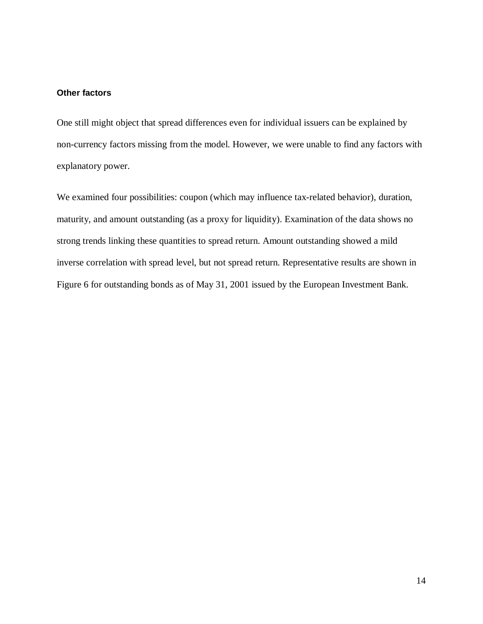### **Other factors**

One still might object that spread differences even for individual issuers can be explained by non-currency factors missing from the model. However, we were unable to find any factors with explanatory power.

We examined four possibilities: coupon (which may influence tax-related behavior), duration, maturity, and amount outstanding (as a proxy for liquidity). Examination of the data shows no strong trends linking these quantities to spread return. Amount outstanding showed a mild inverse correlation with spread level, but not spread return. Representative results are shown in Figure 6 for outstanding bonds as of May 31, 2001 issued by the European Investment Bank.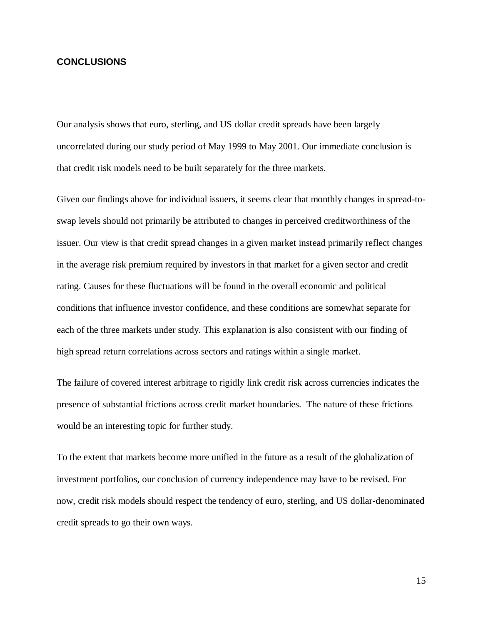### **CONCLUSIONS**

Our analysis shows that euro, sterling, and US dollar credit spreads have been largely uncorrelated during our study period of May 1999 to May 2001. Our immediate conclusion is that credit risk models need to be built separately for the three markets.

Given our findings above for individual issuers, it seems clear that monthly changes in spread-toswap levels should not primarily be attributed to changes in perceived creditworthiness of the issuer. Our view is that credit spread changes in a given market instead primarily reflect changes in the average risk premium required by investors in that market for a given sector and credit rating. Causes for these fluctuations will be found in the overall economic and political conditions that influence investor confidence, and these conditions are somewhat separate for each of the three markets under study. This explanation is also consistent with our finding of high spread return correlations across sectors and ratings within a single market.

The failure of covered interest arbitrage to rigidly link credit risk across currencies indicates the presence of substantial frictions across credit market boundaries. The nature of these frictions would be an interesting topic for further study.

To the extent that markets become more unified in the future as a result of the globalization of investment portfolios, our conclusion of currency independence may have to be revised. For now, credit risk models should respect the tendency of euro, sterling, and US dollar-denominated credit spreads to go their own ways.

15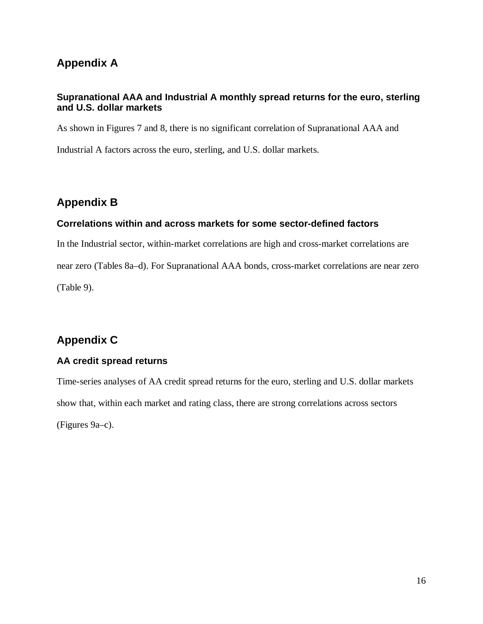## **Appendix A**

## **Supranational AAA and Industrial A monthly spread returns for the euro, sterling and U.S. dollar markets**

As shown in Figures 7 and 8, there is no significant correlation of Supranational AAA and Industrial A factors across the euro, sterling, and U.S. dollar markets.

## **Appendix B**

## **Correlations within and across markets for some sector-defined factors**

In the Industrial sector, within-market correlations are high and cross-market correlations are near zero (Tables 8a–d). For Supranational AAA bonds, cross-market correlations are near zero (Table 9).

## **Appendix C**

## **AA credit spread returns**

Time-series analyses of AA credit spread returns for the euro, sterling and U.S. dollar markets show that, within each market and rating class, there are strong correlations across sectors (Figures 9a–c).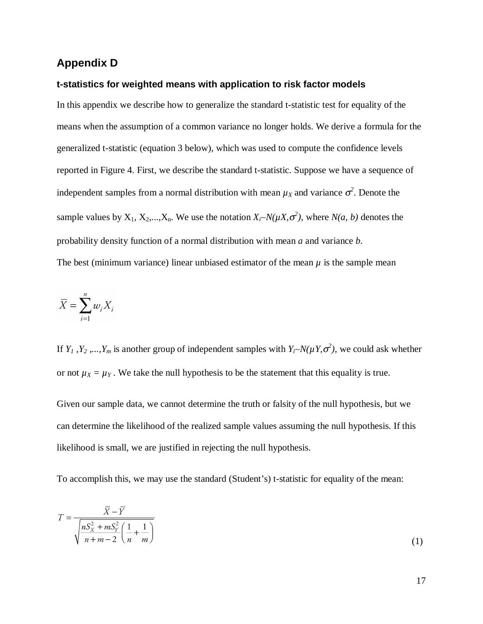## **Appendix D**

### **t-statistics for weighted means with application to risk factor models**

In this appendix we describe how to generalize the standard t-statistic test for equality of the means when the assumption of a common variance no longer holds. We derive a formula for the generalized t-statistic (equation 3 below), which was used to compute the confidence levels reported in Figure 4. First, we describe the standard t-statistic. Suppose we have a sequence of independent samples from a normal distribution with mean  $\mu_X$  and variance  $\sigma^2$ . Denote the sample values by  $X_1, X_2,...,X_n$ . We use the notation  $X_i \sim N(\mu X, \sigma^2)$ , where  $N(a, b)$  denotes the probability density function of a normal distribution with mean *a* and variance *b*. The best (minimum variance) linear unbiased estimator of the mean  $\mu$  is the sample mean

$$
\overline{X} = \sum_{i=1}^{n} w_i X_i
$$

If  $Y_1$ ,  $Y_2$ , ...,  $Y_m$  is another group of independent samples with  $Y_i \sim N(\mu Y, \sigma^2)$ , we could ask whether or not  $\mu_X = \mu_Y$ . We take the null hypothesis to be the statement that this equality is true.

Given our sample data, we cannot determine the truth or falsity of the null hypothesis, but we can determine the likelihood of the realized sample values assuming the null hypothesis. If this likelihood is small, we are justified in rejecting the null hypothesis.

To accomplish this, we may use the standard (Student's) t-statistic for equality of the mean:

$$
T = \frac{\overline{X} - \overline{Y}}{\sqrt{\frac{nS_X^2 + mS_Y^2}{n+m-2} \left(\frac{1}{n} + \frac{1}{m}\right)}}
$$
(1)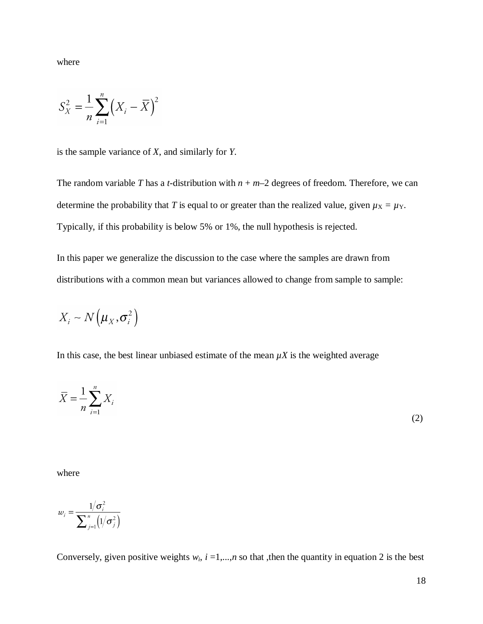where

$$
S_X^2 = \frac{1}{n} \sum_{i=1}^n (X_i - \overline{X})^2
$$

is the sample variance of *X*, and similarly for *Y*.

The random variable *T* has a *t*-distribution with  $n + m-2$  degrees of freedom. Therefore, we can determine the probability that *T* is equal to or greater than the realized value, given  $\mu_X = \mu_Y$ . Typically, if this probability is below 5% or 1%, the null hypothesis is rejected.

In this paper we generalize the discussion to the case where the samples are drawn from distributions with a common mean but variances allowed to change from sample to sample:

$$
X_i \sim N\left(\mu_X, \sigma_i^2\right)
$$

In this case, the best linear unbiased estimate of the mean  $\mu X$  is the weighted average

$$
\overline{X} = \frac{1}{n} \sum_{i=1}^{n} X_i
$$
\n(2)

where

$$
w_i = \frac{1/\sigma_i^2}{\sum_{j=1}^n \left(1/\sigma_j^2\right)}
$$

Conversely, given positive weights  $w_i$ ,  $i = 1,...,n$  so that , then the quantity in equation 2 is the best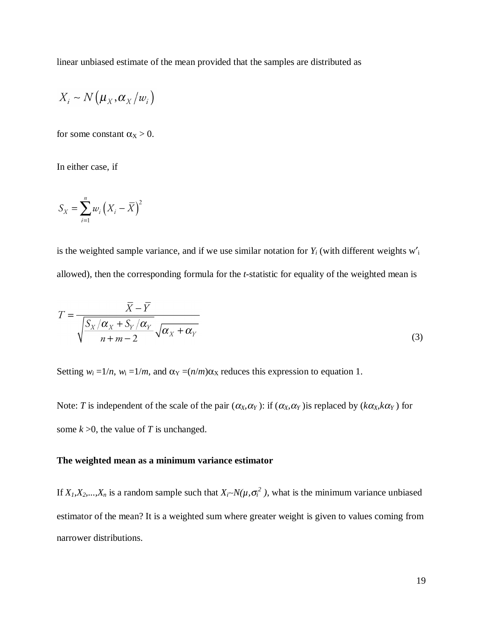linear unbiased estimate of the mean provided that the samples are distributed as

$$
X_i \sim N(\mu_X, \alpha_X/w_i)
$$

for some constant  $\alpha_X > 0$ .

In either case, if

$$
S_X = \sum_{i=1}^n w_i \left( X_i - \overline{X} \right)^2
$$

is the weighted sample variance, and if we use similar notation for  $Y_i$  (with different weights  $w'_i$ allowed), then the corresponding formula for the *t*-statistic for equality of the weighted mean is

$$
T = \frac{\overline{X} - \overline{Y}}{\sqrt{\frac{S_X/\alpha_X + S_Y/\alpha_Y}{n + m - 2}}\sqrt{\alpha_X + \alpha_Y}}
$$
\n(3)

Setting  $w_i = 1/n$ ,  $w_i = 1/m$ , and  $\alpha_Y = (n/m)\alpha_X$  reduces this expression to equation 1.

Note: *T* is independent of the scale of the pair  $(\alpha_X, \alpha_Y)$ : if  $(\alpha_X, \alpha_Y)$  is replaced by  $(k\alpha_X, k\alpha_Y)$  for some  $k > 0$ , the value of *T* is unchanged.

### **The weighted mean as a minimum variance estimator**

If  $X_1, X_2, \ldots, X_n$  is a random sample such that  $X_i \sim N(\mu, \sigma_i^2)$ , what is the minimum variance unbiased estimator of the mean? It is a weighted sum where greater weight is given to values coming from narrower distributions.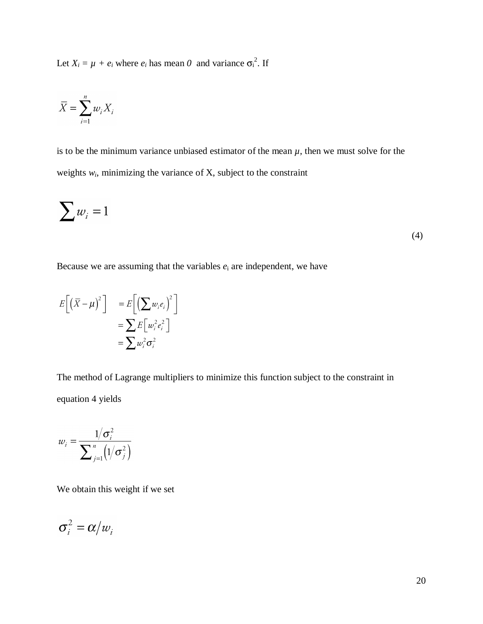Let  $X_i = \mu + e_i$  where  $e_i$  has mean  $\theta$  and variance  $\sigma_i^2$ . If

$$
\overline{X} = \sum_{i=1}^{n} w_i X_i
$$

is to be the minimum variance unbiased estimator of the mean  $\mu$ , then we must solve for the weights  $w_i$ , minimizing the variance of  $X$ , subject to the constraint

$$
\sum w_i = 1 \tag{4}
$$

Because we are assuming that the variables  $e_i$  are independent, we have

$$
E[(\bar{X} - \mu)^2] = E[(\sum w_i e_i)^2]
$$
  
= 
$$
\sum E[w_i^2 e_i^2]
$$
  
= 
$$
\sum w_i^2 \sigma_i^2
$$

The method of Lagrange multipliers to minimize this function subject to the constraint in equation 4 yields

$$
w_i = \frac{1/\sigma_i^2}{\sum_{j=1}^n \left(1/\sigma_j^2\right)}
$$

We obtain this weight if we set

$$
\sigma_i^2 = \alpha/w_i
$$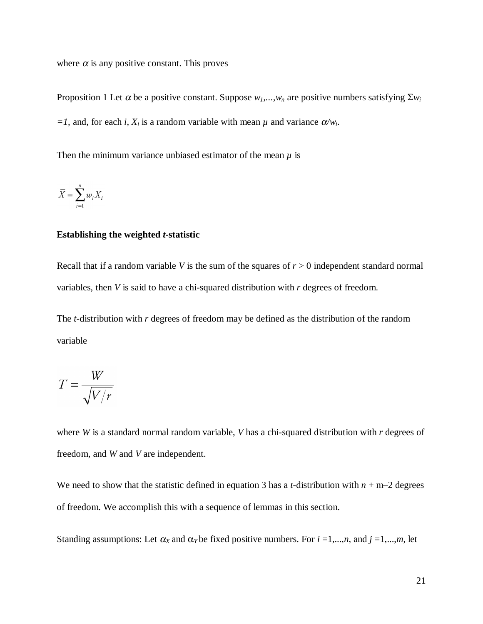where  $\alpha$  is any positive constant. This proves

Proposition 1 Let  $\alpha$  be a positive constant. Suppose  $w_1, \ldots, w_n$  are positive numbers satisfying  $\Sigma w_i$  $=1$ , and, for each *i*,  $X_i$  is a random variable with mean  $\mu$  and variance  $\alpha / w_i$ .

Then the minimum variance unbiased estimator of the mean  $\mu$  is

$$
\overline{X} = \sum_{i=1}^{n} w_i X_i
$$

#### **Establishing the weighted** *t***-statistic**

Recall that if a random variable *V* is the sum of the squares of  $r > 0$  independent standard normal variables, then *V* is said to have a chi-squared distribution with *r* degrees of freedom.

The *t*-distribution with *r* degrees of freedom may be defined as the distribution of the random variable

$$
T = \frac{W}{\sqrt{V/r}}
$$

where *W* is a standard normal random variable, *V* has a chi-squared distribution with *r* degrees of freedom, and *W* and *V* are independent.

We need to show that the statistic defined in equation 3 has a *t*-distribution with  $n + m-2$  degrees of freedom. We accomplish this with a sequence of lemmas in this section.

Standing assumptions: Let  $\alpha_X$  and  $\alpha_Y$  be fixed positive numbers. For  $i = 1,...,n$ , and  $j = 1,...,m$ , let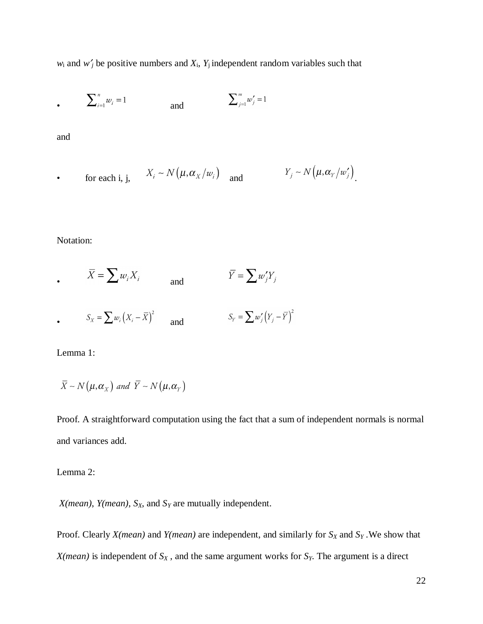$w_i$  and  $w'_j$  be positive numbers and  $X_i$ ,  $Y_j$  independent random variables such that

$$
\sum_{i=1}^{n} w_i = 1
$$
 and 
$$
\sum_{j=1}^{m} w'_j = 1
$$

and

• for each i, j, 
$$
X_i \sim N(\mu, \alpha_X/w_i)
$$
 and  $Y_j \sim N(\mu, \alpha_Y/w'_j)$ .

Notation:

• 
$$
\overline{X} = \sum w_i X_i
$$
 and  $\overline{Y} = \sum w'_j Y_j$   
\n•  $S_X = \sum w_i (X_i - \overline{X})^2$  and  $S_Y = \sum w'_j (Y_j - \overline{Y})^2$ 

Lemma 1:

$$
\overline{X} \sim N(\mu, \alpha_{X}) \text{ and } \overline{Y} \sim N(\mu, \alpha_{Y})
$$

Proof. A straightforward computation using the fact that a sum of independent normals is normal and variances add.

Lemma 2:

 $X(mean)$ ,  $Y(mean)$ ,  $S_X$ , and  $S_Y$  are mutually independent.

Proof. Clearly *X(mean)* and *Y(mean)* are independent, and similarly for  $S_X$  and  $S_Y$ . We show that  $X(mean)$  is independent of  $S_X$ , and the same argument works for  $S_Y$ . The argument is a direct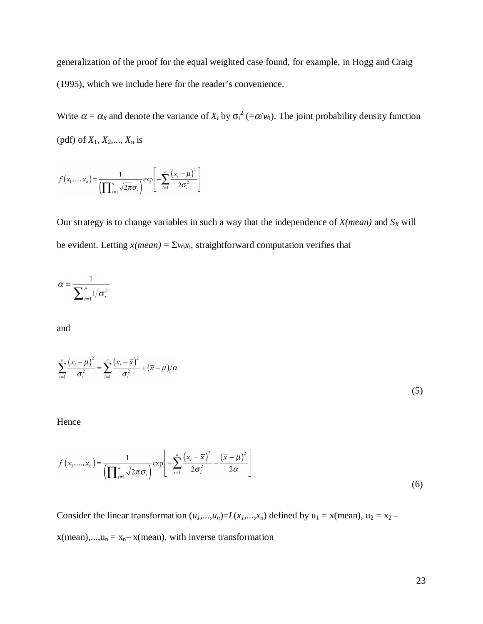generalization of the proof for the equal weighted case found, for example, in Hogg and Craig (1995), which we include here for the reader's convenience.

Write  $\alpha = \alpha_X$  and denote the variance of  $X_i$  by  $\sigma_i^2 (= \alpha/w_i)$ . The joint probability density function (pdf) of *X*1, *X*2,..., *X*<sup>n</sup> is

$$
f(x_1,...,x_n) = \frac{1}{\left(\prod_{i=1}^n \sqrt{2\pi}\sigma_i\right)} \exp\left[-\sum_{i=1}^n \frac{(x_i - \mu)^2}{2\sigma_i^2}\right]
$$

Our strategy is to change variables in such a way that the independence of  $X(mean)$  and  $S_X$  will be evident. Letting  $x(mean) = \sum w_i x_i$ , straightforward computation verifies that

$$
\alpha = \frac{1}{\sum_{i=1}^n 1/\sigma_i^2}
$$

and

$$
\sum_{i=1}^{n} \frac{(x_i - \mu)^2}{\sigma_i^2} = \sum_{i=1}^{n} \frac{(x_i - \overline{x})^2}{\sigma_i^2} + (\overline{x} - \mu)/\alpha
$$
\n(5)

Hence

$$
f(x_1,...,x_n) = \frac{1}{\left(\prod_{i=1}^n \sqrt{2\pi}\sigma_i\right)} \exp\left[-\sum_{i=1}^n \frac{(x_i - \overline{x})^2}{2\sigma_i^2} - \frac{(\overline{x} - \mu)^2}{2\alpha}\right]
$$
(6)

Consider the linear transformation  $(u_1,...,u_n)$ = $L(x_1,...,x_n)$  defined by  $u_1 = x$ (mean),  $u_2 = x_2$  –  $x(\text{mean}),...,u_n = x_n-x(\text{mean}),$  with inverse transformation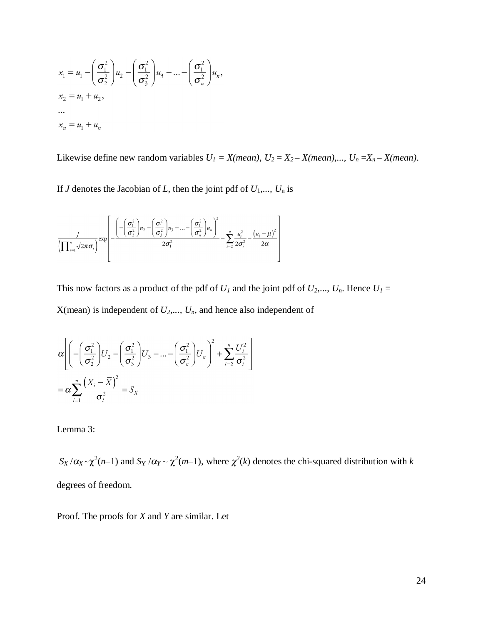$$
x_1 = u_1 - \left(\frac{\sigma_1^2}{\sigma_2^2}\right)u_2 - \left(\frac{\sigma_1^2}{\sigma_3^2}\right)u_3 - \dots - \left(\frac{\sigma_1^2}{\sigma_n^2}\right)u_n,
$$
  
\n
$$
x_2 = u_1 + u_2,
$$
  
\n...  
\n
$$
x_n = u_1 + u_n
$$

Likewise define new random variables  $U_1 = X(mean), U_2 = X_2 - X(mean),..., U_n = X_n - X(mean)$ .

If *J* denotes the Jacobian of *L*, then the joint pdf of *U*1*,..., U*<sup>n</sup> is

$$
\frac{J}{\left(\prod_{i=1}^{n}\sqrt{2\pi}\sigma_{i}\right)}\exp\left[\frac{\left(-\left(\frac{\sigma_{1}^{2}}{\sigma_{2}^{2}}\right)u_{2}-\left(\frac{\sigma_{1}^{2}}{\sigma_{3}^{2}}\right)u_{3}-\dots-\left(\frac{\sigma_{1}^{2}}{\sigma_{n}^{2}}\right)u_{n}\right)^{2}}{2\sigma_{1}^{2}}-\sum_{i=2}^{n}\frac{u_{i}^{2}}{2\sigma_{i}^{2}}-\frac{\left(u_{1}-\mu\right)^{2}}{2\alpha}\right]\right]
$$

This now factors as a product of the pdf of  $U_1$  and the joint pdf of  $U_2, ..., U_n$ . Hence  $U_1 =$  $X$ (mean) is independent of  $U_2$ ,...,  $U_n$ , and hence also independent of

$$
\alpha \left[ \left( -\left( \frac{\sigma_1^2}{\sigma_2^2} \right) U_2 - \left( \frac{\sigma_1^2}{\sigma_3^2} \right) U_3 - \dots - \left( \frac{\sigma_1^2}{\sigma_n^2} \right) U_n \right)^2 + \sum_{i=2}^n \frac{U_i^2}{\sigma_i^2} \right]
$$
  
= 
$$
\alpha \sum_{i=1}^n \frac{\left( X_i - \overline{X} \right)^2}{\sigma_i^2} = S_X
$$

Lemma 3:

 $S_X/\alpha_X \sim \chi^2(n-1)$  and  $S_Y/\alpha_Y \sim \chi^2(m-1)$ , where  $\chi^2(k)$  denotes the chi-squared distribution with *k* degrees of freedom.

Proof. The proofs for *X* and *Y* are similar. Let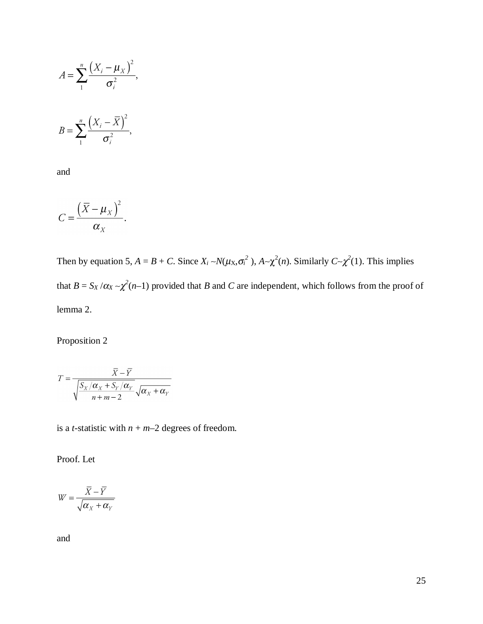$$
A = \sum_{1}^{n} \frac{\left(X_i - \mu_X\right)^2}{\sigma_i^2},
$$

$$
B = \sum_{1}^{n} \frac{\left(X_i - \overline{X}\right)^2}{\sigma_i^2},
$$

and

$$
C=\frac{\left(\overline{X}-\mu_{X}\right)^{2}}{\alpha_{X}}.
$$

Then by equation 5,  $A = B + C$ . Since  $X_i \sim N(\mu_X, \sigma_i^2)$ ,  $A \sim \chi^2(n)$ . Similarly  $C \sim \chi^2(1)$ . This implies that  $B = S_X/\alpha_X \sim \chi^2(n-1)$  provided that *B* and *C* are independent, which follows from the proof of lemma 2.

Proposition 2

$$
T = \frac{\overline{X} - \overline{Y}}{\sqrt{\frac{S_X/\alpha_X + S_Y/\alpha_Y}{n + m - 2}}\sqrt{\alpha_X + \alpha_Y}}
$$

is a *t*-statistic with  $n + m-2$  degrees of freedom.

Proof. Let

$$
W = \frac{\overline{X} - \overline{Y}}{\sqrt{\alpha_X + \alpha_Y}}
$$

and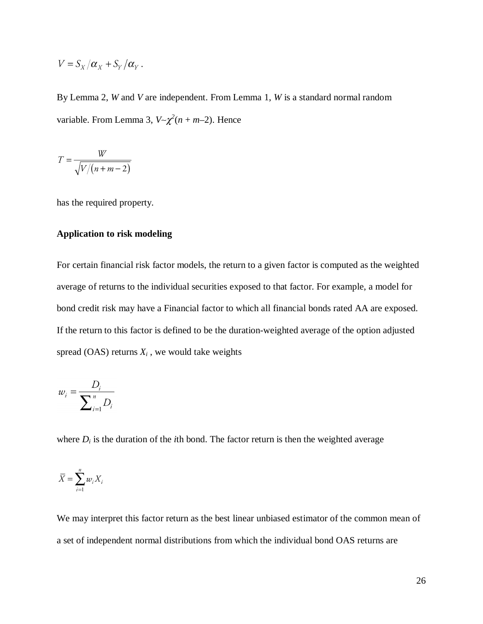$$
V = S_X/\alpha_X + S_Y/\alpha_Y.
$$

By Lemma 2, *W* and *V* are independent. From Lemma 1, *W* is a standard normal random variable. From Lemma 3,  $V \sim \chi^2(n + m - 2)$ . Hence

$$
T = \frac{W}{\sqrt{V/(n+m-2)}}
$$

has the required property.

### **Application to risk modeling**

For certain financial risk factor models, the return to a given factor is computed as the weighted average of returns to the individual securities exposed to that factor. For example, a model for bond credit risk may have a Financial factor to which all financial bonds rated AA are exposed. If the return to this factor is defined to be the duration-weighted average of the option adjusted spread  $(OAS)$  returns  $X_i$ , we would take weights

$$
w_i = \frac{D_i}{\sum_{i=1}^n D_i}
$$

where  $D_i$  is the duration of the *i*th bond. The factor return is then the weighted average

$$
\overline{X} = \sum_{i=1}^{n} w_i X_i
$$

We may interpret this factor return as the best linear unbiased estimator of the common mean of a set of independent normal distributions from which the individual bond OAS returns are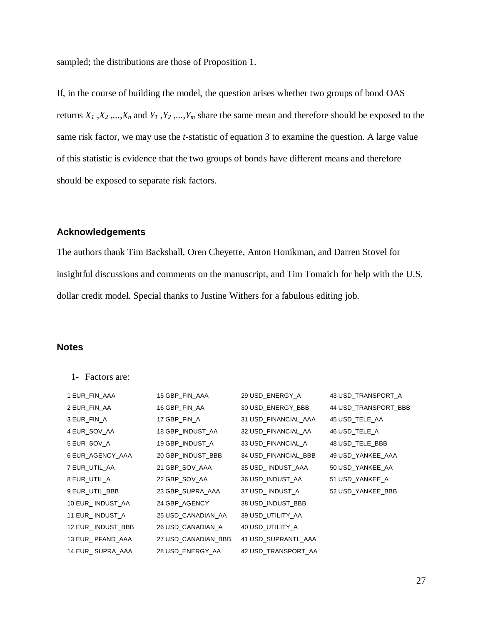sampled; the distributions are those of Proposition 1.

If, in the course of building the model, the question arises whether two groups of bond OAS returns  $X_1$ ,  $X_2$ , ...,  $X_n$  and  $Y_1$ ,  $Y_2$ , ...,  $Y_m$  share the same mean and therefore should be exposed to the same risk factor, we may use the *t*-statistic of equation 3 to examine the question. A large value of this statistic is evidence that the two groups of bonds have different means and therefore should be exposed to separate risk factors.

### **Acknowledgements**

The authors thank Tim Backshall, Oren Cheyette, Anton Honikman, and Darren Stovel for insightful discussions and comments on the manuscript, and Tim Tomaich for help with the U.S. dollar credit model. Special thanks to Justine Withers for a fabulous editing job.

## **Notes**

1- Factors are:

| 1 EUR_FIN_AAA     | 15 GBP_FIN_AAA      | 29 USD_ENERGY_A      | 43 USD_TRANSPORT_A   |
|-------------------|---------------------|----------------------|----------------------|
| 2 EUR_FIN_AA      | 16 GBP_FIN_AA       | 30 USD ENERGY BBB    | 44 USD TRANSPORT BBB |
| 3 EUR_FIN_A       | 17 GBP_FIN_A        | 31 USD_FINANCIAL_AAA | 45 USD_TELE_AA       |
| 4 EUR_SOV_AA      | 18 GBP_INDUST_AA    | 32 USD_FINANCIAL_AA  | 46 USD_TELE_A        |
| 5 EUR_SOV_A       | 19 GBP_INDUST_A     | 33 USD FINANCIAL A   | 48 USD_TELE_BBB      |
| 6 EUR_AGENCY_AAA  | 20 GBP_INDUST_BBB   | 34 USD_FINANCIAL_BBB | 49 USD_YANKEE_AAA    |
| 7 EUR_UTIL_AA     | 21 GBP_SOV_AAA      | 35 USD_INDUST_AAA    | 50 USD_YANKEE_AA     |
| 8 EUR_UTIL_A      | 22 GBP_SOV_AA       | 36 USD_INDUST_AA     | 51 USD_YANKEE_A      |
| 9 EUR_UTIL_BBB    | 23 GBP_SUPRA_AAA    | 37 USD_INDUST_A      | 52 USD_YANKEE_BBB    |
| 10 EUR_INDUST_AA  | 24 GBP_AGENCY       | 38 USD_INDUST_BBB    |                      |
| 11 EUR_INDUST_A   | 25 USD CANADIAN AA  | 39 USD_UTILITY_AA    |                      |
| 12 EUR_INDUST_BBB | 26 USD CANADIAN A   | 40 USD_UTILITY_A     |                      |
| 13 EUR_ PFAND_AAA | 27 USD CANADIAN BBB | 41 USD_SUPRANTL_AAA  |                      |
| 14 EUR_ SUPRA_AAA | 28 USD_ENERGY_AA    | 42 USD TRANSPORT AA  |                      |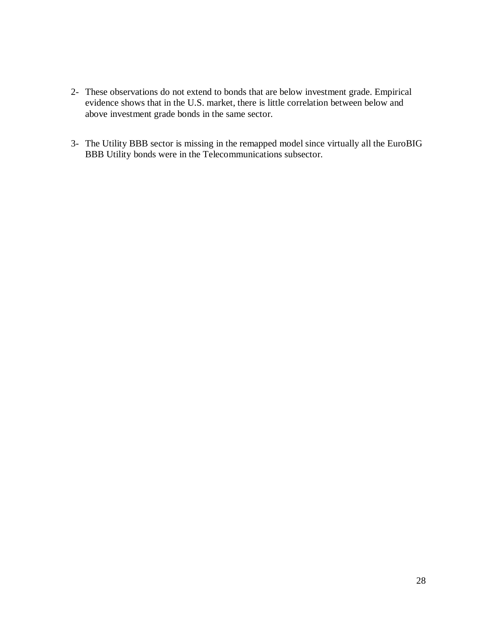- 2- These observations do not extend to bonds that are below investment grade. Empirical evidence shows that in the U.S. market, there is little correlation between below and above investment grade bonds in the same sector.
- 3- The Utility BBB sector is missing in the remapped model since virtually all the EuroBIG BBB Utility bonds were in the Telecommunications subsector.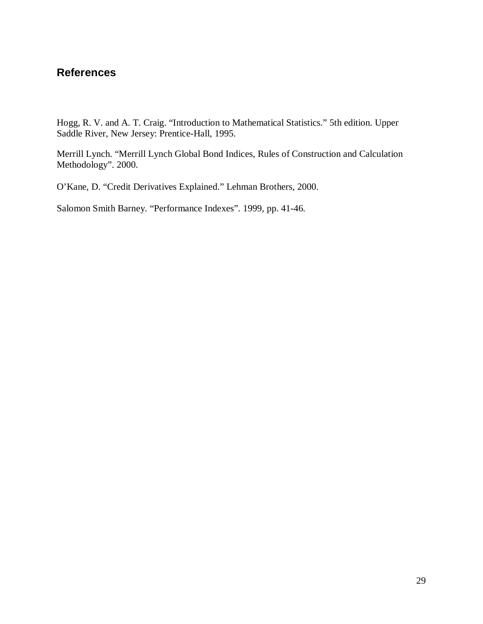## **References**

Hogg, R. V. and A. T. Craig. "Introduction to Mathematical Statistics." 5th edition. Upper Saddle River, New Jersey: Prentice-Hall, 1995.

Merrill Lynch. "Merrill Lynch Global Bond Indices, Rules of Construction and Calculation Methodology". 2000.

O'Kane, D. "Credit Derivatives Explained." Lehman Brothers, 2000.

Salomon Smith Barney. "Performance Indexes". 1999, pp. 41-46.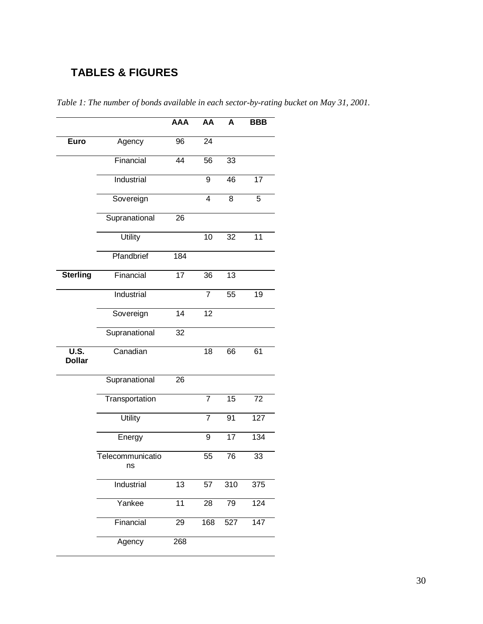# **TABLES & FIGURES**

|                                                       |                        | <b>AAA</b> | AA             | A              | <b>BBB</b>       |
|-------------------------------------------------------|------------------------|------------|----------------|----------------|------------------|
| <b>Euro</b>                                           | Agency                 | 96         | 24             |                |                  |
|                                                       | Financial              | 44         | 56             | 33             |                  |
|                                                       | Industrial             |            | 9              | 46             | 17               |
|                                                       | Sovereign              |            | $\overline{4}$ | $\overline{8}$ | 5                |
|                                                       | Supranational          | 26         |                |                |                  |
|                                                       | <b>Utility</b>         |            | 10             | 32             | 11               |
|                                                       | Pfandbrief             | 184        |                |                |                  |
| <b>Sterling</b>                                       | Financial              | 17         | 36             | 13             |                  |
|                                                       | Industrial             |            | $\overline{7}$ | 55             | 19               |
|                                                       | Sovereign              | 14         | 12             |                |                  |
|                                                       | Supranational          | 32         |                |                |                  |
| $\overline{\mathsf{U}.\mathsf{S}}$ .<br><b>Dollar</b> | Canadian               |            | 18             | 66             | 61               |
|                                                       | Supranational          | 26         |                |                |                  |
|                                                       | Transportation         |            | $\overline{7}$ | 15             | 72               |
|                                                       | <b>Utility</b>         |            | $\overline{7}$ | 91             | 127              |
|                                                       | Energy                 |            | 9              | 17             | 134              |
|                                                       | Telecommunicatio<br>ns |            | 55             | 76             | 33               |
|                                                       | Industrial             | 13         | 57             | 310            | 375              |
|                                                       | Yankee                 | 11         | 28             | 79             | $12\overline{4}$ |
|                                                       | Financial              | 29         | 168            | 527            | 147              |
|                                                       | Agency                 | 268        |                |                |                  |

*Table 1: The number of bonds available in each sector-by-rating bucket on May 31, 2001.*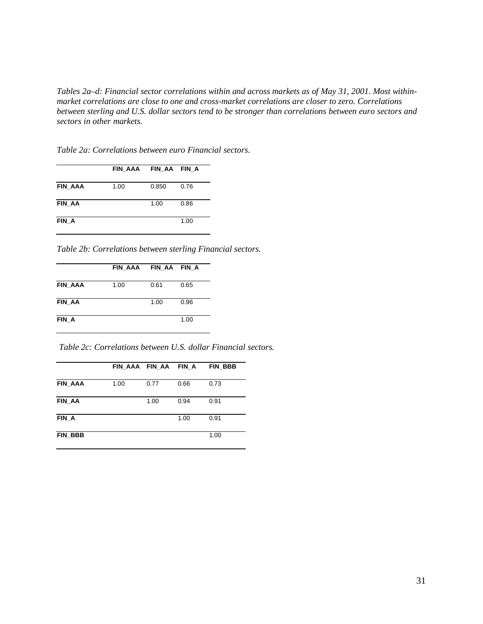*Tables 2a–d: Financial sector correlations within and across markets as of May 31, 2001. Most withinmarket correlations are close to one and cross-market correlations are closer to zero. Correlations between sterling and U.S. dollar sectors tend to be stronger than correlations between euro sectors and sectors in other markets.*

*Table 2a: Correlations between euro Financial sectors.*

|               | FIN AAA FIN AA FIN A |       |      |
|---------------|----------------------|-------|------|
| FIN AAA       | 1.00                 | 0.850 | 0.76 |
| <b>FIN AA</b> |                      | 1.00  | 0.86 |
| FIN A         |                      |       | 1.00 |

*Table 2b: Correlations between sterling Financial sectors.*

|                | FIN AAA FIN AA FIN A |      |      |
|----------------|----------------------|------|------|
| <b>FIN AAA</b> | 1.00                 | 0.61 | 0.65 |
| <b>FIN AA</b>  |                      | 1.00 | 0.96 |
| FIN A          |                      |      | 1.00 |

*Table 2c: Correlations between U.S. dollar Financial sectors.*

|         | FIN AAA FIN AA |      | FIN A | FIN BBB |
|---------|----------------|------|-------|---------|
| FIN AAA | 1.00           | 0.77 | 0.66  | 0.73    |
|         |                |      |       |         |
| FIN AA  |                | 1.00 | 0.94  | 0.91    |
|         |                |      |       |         |
| FIN A   |                |      | 1.00  | 0.91    |
| FIN BBB |                |      |       | 1.00    |
|         |                |      |       |         |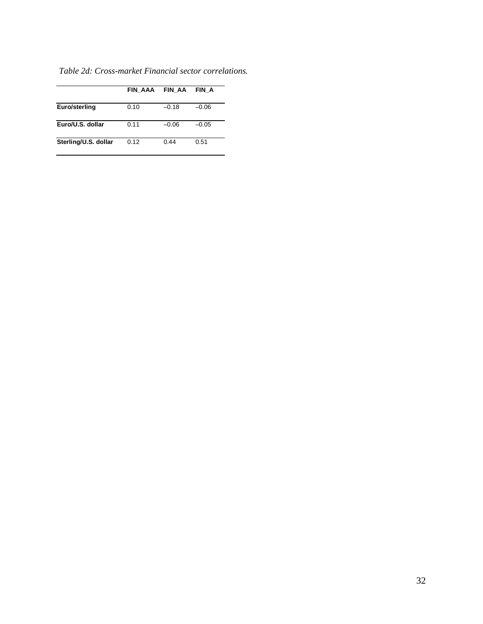|                      | FIN AAA | <b>FIN AA</b> | FIN A   |
|----------------------|---------|---------------|---------|
| Euro/sterling        | 0.10    | $-0.18$       | $-0.06$ |
| Euro/U.S. dollar     | 0.11    | $-0.06$       | $-0.05$ |
| Sterling/U.S. dollar | 0.12    | 0.44          | 0.51    |

*Table 2d: Cross-market Financial sector correlations.*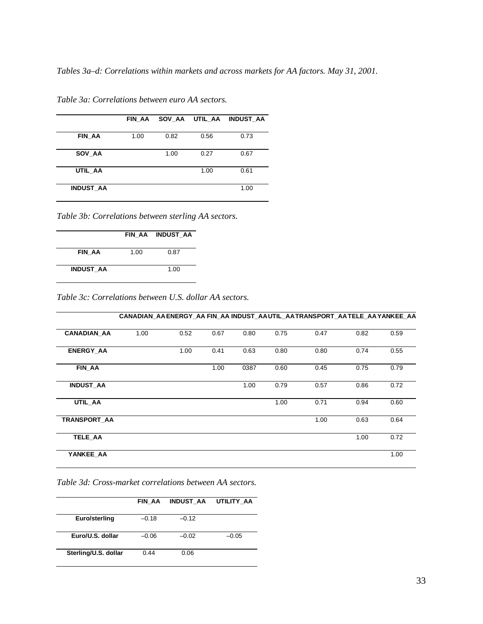*Tables 3a–d: Correlations within markets and across markets for AA factors. May 31, 2001.*

|                  | FIN AA |      | SOV AA UTIL AA | <b>INDUST AA</b> |
|------------------|--------|------|----------------|------------------|
|                  |        |      |                |                  |
| FIN AA           | 1.00   | 0.82 | 0.56           | 0.73             |
|                  |        |      |                |                  |
| SOV AA           |        | 1.00 | 0.27           | 0.67             |
|                  |        |      |                |                  |
| UTIL_AA          |        |      | 1.00           | 0.61             |
|                  |        |      |                |                  |
| <b>INDUST AA</b> |        |      |                | 1.00             |
|                  |        |      |                |                  |

*Table 3a: Correlations between euro AA sectors.*

*Table 3b: Correlations between sterling AA sectors.*

|                  |      | FIN AA INDUST AA |
|------------------|------|------------------|
| <b>FIN AA</b>    | 1.00 | 0.87             |
| <b>INDUST AA</b> |      | 1.00             |

*Table 3c: Correlations between U.S. dollar AA sectors.*

|                    |      |      |      |      |      |      |      | CANADIAN AAENERGY AA FIN AA INDUST AAUTIL AATRANSPORT AATELE AAYANKEE AA |
|--------------------|------|------|------|------|------|------|------|--------------------------------------------------------------------------|
| <b>CANADIAN AA</b> | 1.00 | 0.52 | 0.67 | 0.80 | 0.75 | 0.47 | 0.82 | 0.59                                                                     |
| <b>ENERGY AA</b>   |      | 1.00 | 0.41 | 0.63 | 0.80 | 0.80 | 0.74 | 0.55                                                                     |
| FIN AA             |      |      | 1.00 | 0387 | 0.60 | 0.45 | 0.75 | 0.79                                                                     |
| <b>INDUST AA</b>   |      |      |      | 1.00 | 0.79 | 0.57 | 0.86 | 0.72                                                                     |
| UTIL AA            |      |      |      |      | 1.00 | 0.71 | 0.94 | 0.60                                                                     |
| TRANSPORT AA       |      |      |      |      |      | 1.00 | 0.63 | 0.64                                                                     |
| <b>TELE AA</b>     |      |      |      |      |      |      | 1.00 | 0.72                                                                     |
| YANKEE_AA          |      |      |      |      |      |      |      | 1.00                                                                     |

*Table 3d: Cross-market correlations between AA sectors.*

|                      | FIN AA  | <b>INDUST AA</b> | UTILITY AA |
|----------------------|---------|------------------|------------|
| Euro/sterling        | $-0.18$ | $-0.12$          |            |
| Euro/U.S. dollar     | $-0.06$ | $-0.02$          | $-0.05$    |
| Sterling/U.S. dollar | 0.44    | 0.06             |            |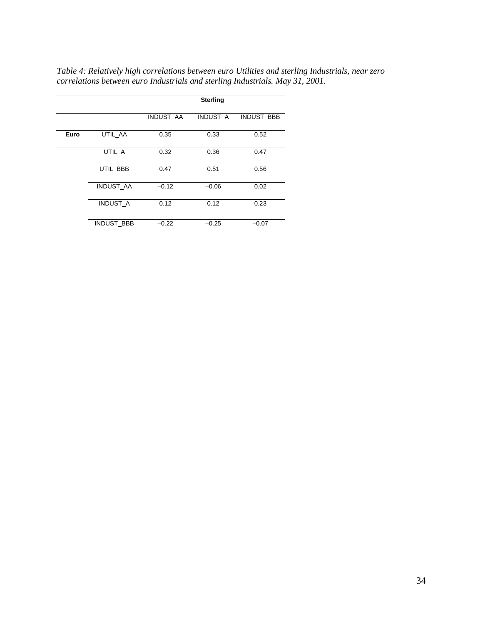|      |                   |                  | <b>Sterling</b> |            |
|------|-------------------|------------------|-----------------|------------|
|      |                   | <b>INDUST AA</b> | <b>INDUST A</b> | INDUST_BBB |
| Euro | UTIL AA           | 0.35             | 0.33            | 0.52       |
|      | UTIL A            | 0.32             | 0.36            | 0.47       |
|      | UTIL BBB          | 0.47             | 0.51            | 0.56       |
|      | INDUST_AA         | $-0.12$          | $-0.06$         | 0.02       |
|      | <b>INDUST A</b>   | 0.12             | 0.12            | 0.23       |
|      | <b>INDUST BBB</b> | $-0.22$          | $-0.25$         | $-0.07$    |

*Table 4: Relatively high correlations between euro Utilities and sterling Industrials, near zero correlations between euro Industrials and sterling Industrials. May 31, 2001.*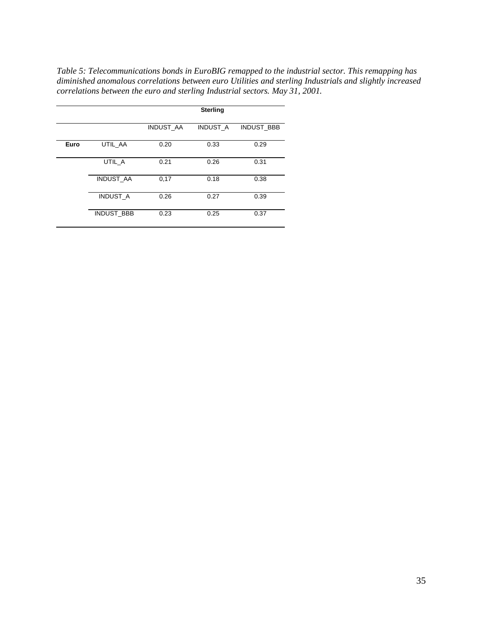*Table 5: Telecommunications bonds in EuroBIG remapped to the industrial sector. This remapping has diminished anomalous correlations between euro Utilities and sterling Industrials and slightly increased correlations between the euro and sterling Industrial sectors. May 31, 2001.*

|      |                   |                  | <b>Sterling</b> |                   |
|------|-------------------|------------------|-----------------|-------------------|
|      |                   | <b>INDUST AA</b> | <b>INDUST A</b> | <b>INDUST BBB</b> |
| Euro | UTIL_AA           | 0.20             | 0.33            | 0.29              |
|      | UTIL A            | 0.21             | 0.26            | 0.31              |
|      | <b>INDUST AA</b>  | 0,17             | 0.18            | 0.38              |
|      | <b>INDUST A</b>   | 0.26             | 0.27            | 0.39              |
|      | <b>INDUST BBB</b> | 0.23             | 0.25            | 0.37              |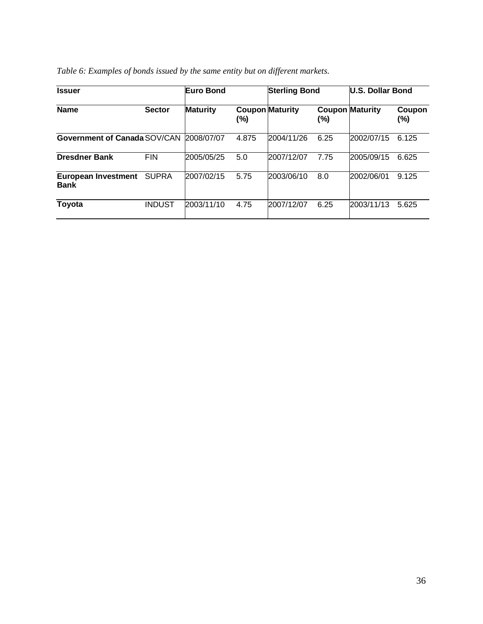| <b>Issuer</b>                             |               | Euro Bond       |       | <b>Sterling Bond</b>   |      | U.S. Dollar Bond       |               |
|-------------------------------------------|---------------|-----------------|-------|------------------------|------|------------------------|---------------|
| <b>Name</b>                               | <b>Sector</b> | <b>Maturity</b> | (%)   | <b>Coupon Maturity</b> | (%)  | <b>Coupon Maturity</b> | Coupon<br>(%) |
| Government of Canada SOV/CAN              |               | 2008/07/07      | 4.875 | 2004/11/26             | 6.25 | 2002/07/15             | 6.125         |
| <b>Dresdner Bank</b>                      | <b>FIN</b>    | 2005/05/25      | 5.0   | 2007/12/07             | 7.75 | 2005/09/15             | 6.625         |
| <b>European Investment</b><br><b>Bank</b> | <b>SUPRA</b>  | 2007/02/15      | 5.75  | 2003/06/10             | 8.0  | 2002/06/01             | 9.125         |
| Toyota                                    | <b>INDUST</b> | 2003/11/10      | 4.75  | 2007/12/07             | 6.25 | 2003/11/13             | 5.625         |

| Table 6: Examples of bonds issued by the same entity but on different markets. |  |  |
|--------------------------------------------------------------------------------|--|--|
|--------------------------------------------------------------------------------|--|--|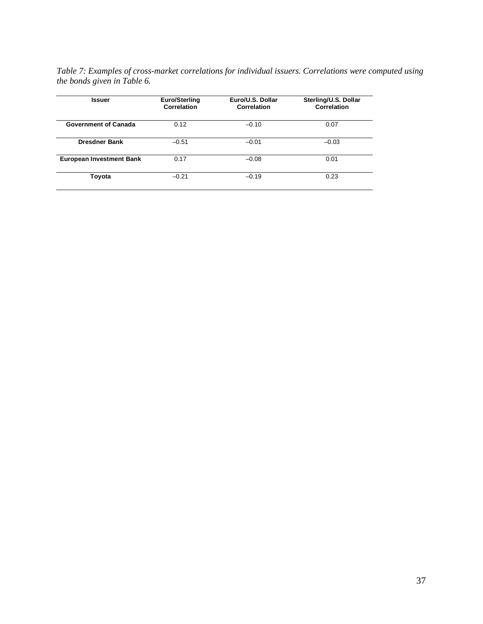*Table 7: Examples of cross-market correlations for individual issuers. Correlations were computed using the bonds given in Table 6.*

| <b>Issuer</b>                   | <b>Euro/Sterling</b><br>Correlation | Euro/U.S. Dollar<br>Correlation | Sterling/U.S. Dollar<br>Correlation |
|---------------------------------|-------------------------------------|---------------------------------|-------------------------------------|
| <b>Government of Canada</b>     | 0.12                                | $-0.10$                         | 0.07                                |
| <b>Dresdner Bank</b>            | $-0.51$                             | $-0.01$                         | $-0.03$                             |
| <b>European Investment Bank</b> | 0.17                                | $-0.08$                         | 0.01                                |
| Toyota                          | $-0.21$                             | $-0.19$                         | 0.23                                |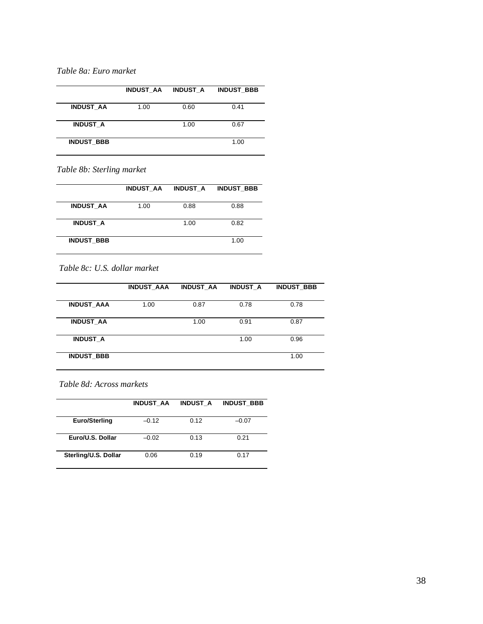## *Table 8a: Euro market*

|                   | <b>INDUST AA</b> | <b>INDUST A</b> | <b>INDUST BBB</b> |
|-------------------|------------------|-----------------|-------------------|
| <b>INDUST AA</b>  | 1.00             | 0.60            | 0.41              |
| <b>INDUST A</b>   |                  | 1.00            | 0.67              |
| <b>INDUST BBB</b> |                  |                 | 1.00              |

*Table 8b: Sterling market*

|                   | <b>INDUST AA</b> | <b>INDUST A</b> | <b>INDUST BBB</b> |
|-------------------|------------------|-----------------|-------------------|
| <b>INDUST AA</b>  | 1.00             | 0.88            | 0.88              |
|                   |                  |                 |                   |
| <b>INDUST A</b>   |                  | 1.00            | 0.82              |
|                   |                  |                 |                   |
| <b>INDUST BBB</b> |                  |                 | 1.00              |
|                   |                  |                 |                   |

## *Table 8c: U.S. dollar market*

|                   | <b>INDUST AAA</b> | <b>INDUST AA</b> | <b>INDUST A</b> | <b>INDUST BBB</b> |
|-------------------|-------------------|------------------|-----------------|-------------------|
| <b>INDUST AAA</b> | 1.00              | 0.87             | 0.78            | 0.78              |
| <b>INDUST AA</b>  |                   | 1.00             | 0.91            | 0.87              |
| <b>INDUST A</b>   |                   |                  | 1.00            | 0.96              |
| <b>INDUST BBB</b> |                   |                  |                 | 1.00              |

#### *Table 8d: Across markets*

|                      | <b>INDUST AA</b> | <b>INDUST A</b> | <b>INDUST BBB</b> |
|----------------------|------------------|-----------------|-------------------|
| <b>Euro/Sterling</b> | $-0.12$          | 0.12            | $-0.07$           |
| Euro/U.S. Dollar     | $-0.02$          | 0.13            | 0.21              |
| Sterling/U.S. Dollar | 0.06             | 0.19            | 0.17              |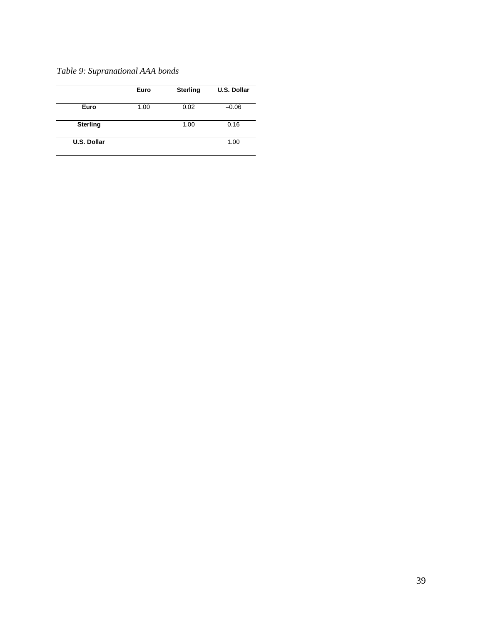*Table 9: Supranational AAA bonds*

|                    | Euro | <b>Sterling</b> | <b>U.S. Dollar</b> |
|--------------------|------|-----------------|--------------------|
| Euro               | 1.00 | 0.02            | $-0.06$            |
| <b>Sterling</b>    |      | 1.00            | 0.16               |
| <b>U.S. Dollar</b> |      |                 | 1.00               |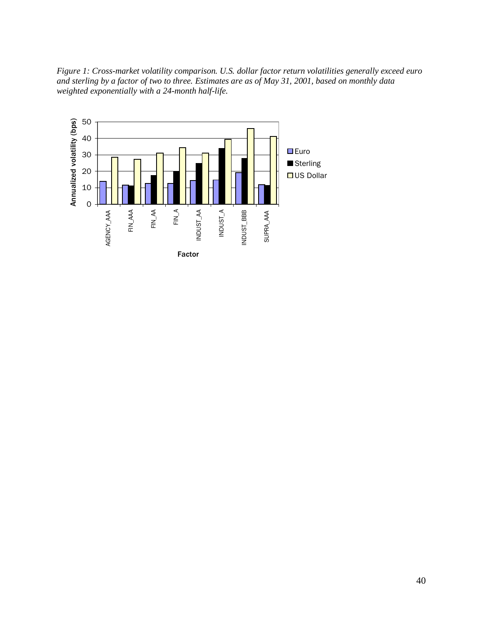*Figure 1: Cross-market volatility comparison. U.S. dollar factor return volatilities generally exceed euro and sterling by a factor of two to three. Estimates are as of May 31, 2001, based on monthly data weighted exponentially with a 24-month half-life.*

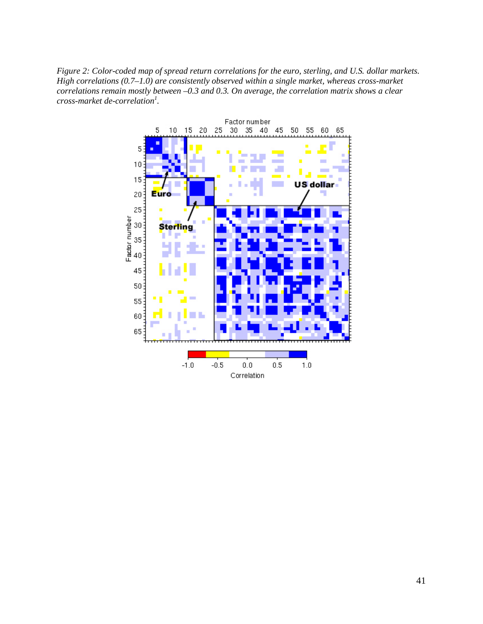*Figure 2: Color-coded map of spread return correlations for the euro, sterling, and U.S. dollar markets. High correlations (0.7–1.0) are consistently observed within a single market, whereas cross-market correlations remain mostly between –0.3 and 0.3. On average, the correlation matrix shows a clear cross-market de-correlation<sup>1</sup> .*

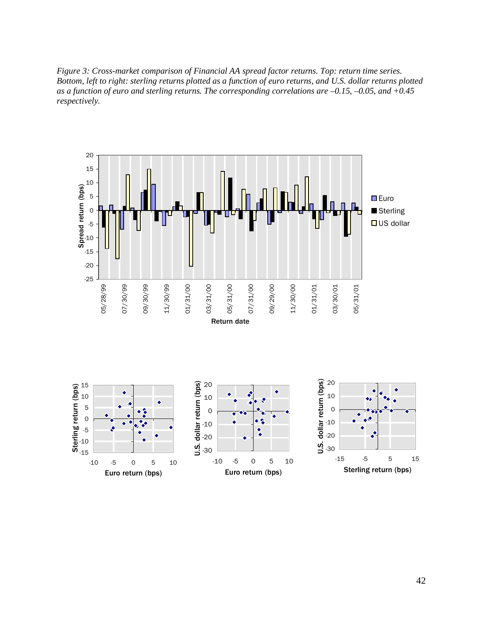*Figure 3: Cross-market comparison of Financial AA spread factor returns. Top: return time series. Bottom, left to right: sterling returns plotted as a function of euro returns, and U.S. dollar returns plotted as a function of euro and sterling returns. The corresponding correlations are –0.15, –0.05, and +0.45 respectively.*

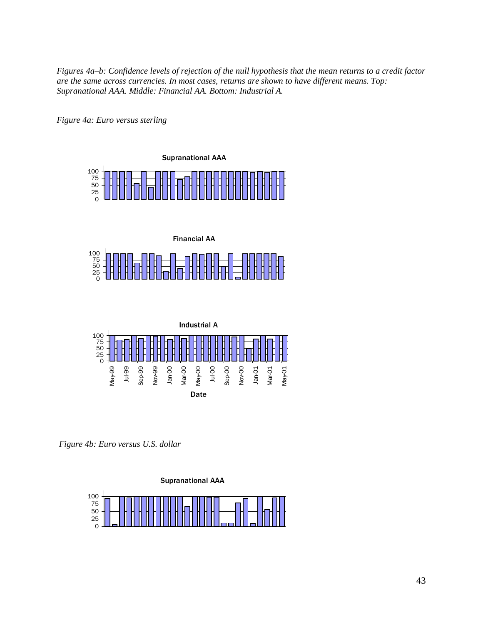*Figures 4a–b: Confidence levels of rejection of the null hypothesis that the mean returns to a credit factor are the same across currencies. In most cases, returns are shown to have different means. Top: Supranational AAA. Middle: Financial AA. Bottom: Industrial A.*

*Figure 4a: Euro versus sterling*







*Figure 4b: Euro versus U.S. dollar*

Supranational AAA

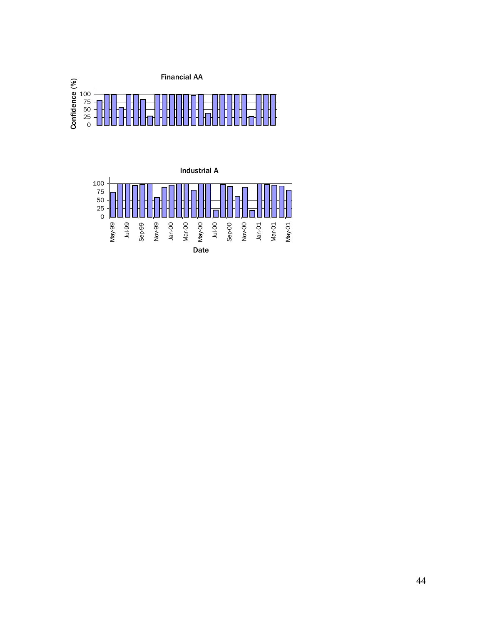

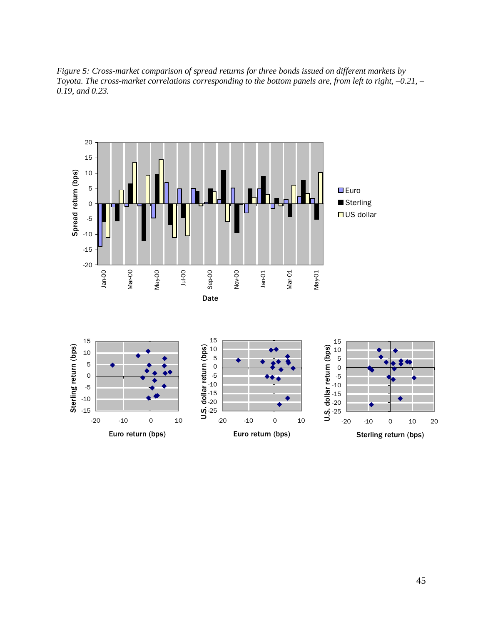*Figure 5: Cross-market comparison of spread returns for three bonds issued on different markets by Toyota. The cross-market correlations corresponding to the bottom panels are, from left to right, –0.21, – 0.19, and 0.23.*

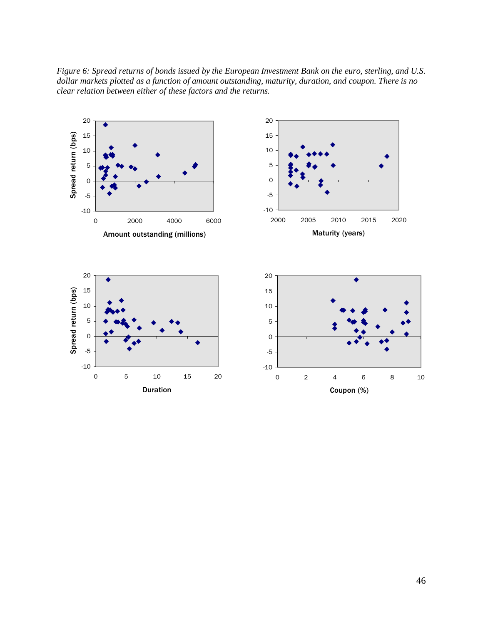*Figure 6: Spread returns of bonds issued by the European Investment Bank on the euro, sterling, and U.S. dollar markets plotted as a function of amount outstanding, maturity, duration, and coupon. There is no clear relation between either of these factors and the returns.*

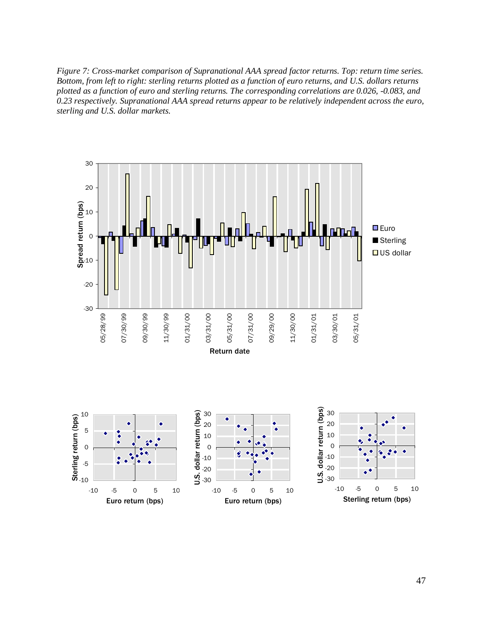*Figure 7: Cross-market comparison of Supranational AAA spread factor returns. Top: return time series. Bottom, from left to right: sterling returns plotted as a function of euro returns, and U.S. dollars returns plotted as a function of euro and sterling returns. The corresponding correlations are 0.026, -0.083, and 0.23 respectively. Supranational AAA spread returns appear to be relatively independent across the euro, sterling and U.S. dollar markets.*

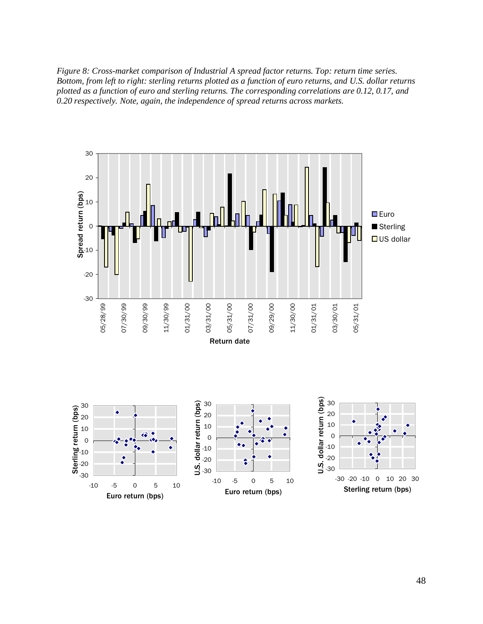*Figure 8: Cross-market comparison of Industrial A spread factor returns. Top: return time series. Bottom, from left to right: sterling returns plotted as a function of euro returns, and U.S. dollar returns plotted as a function of euro and sterling returns. The corresponding correlations are 0.12, 0.17, and 0.20 respectively. Note, again, the independence of spread returns across markets.*

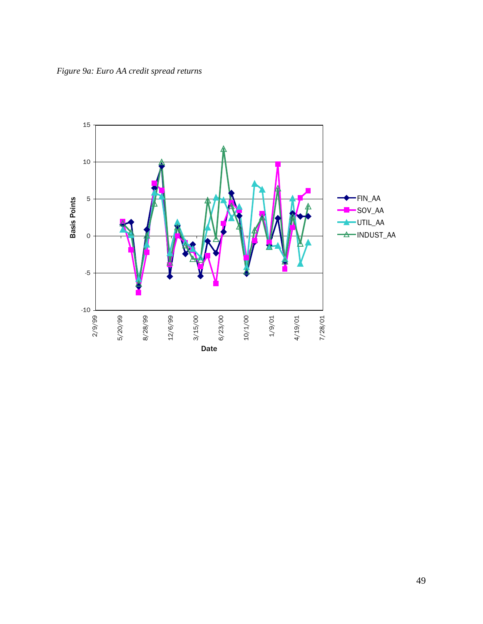*Figure 9a: Euro AA credit spread returns*



49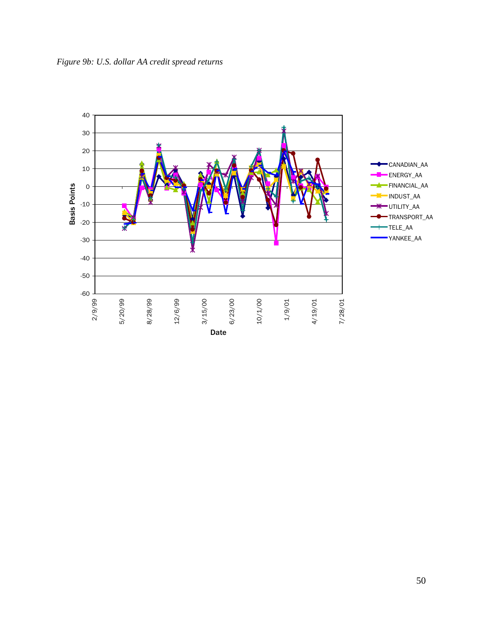